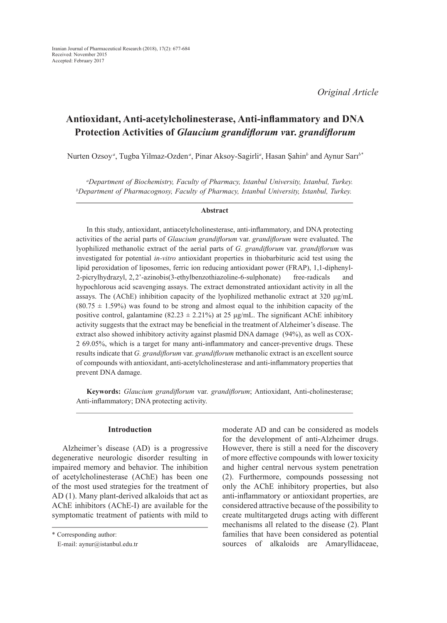# **Antioxidant, Anti-acetylcholinesterase, Anti-inflammatory and DNA Protection Activities of** *Glaucium grandiflorum v***ar.** *grandiflorum*

Nurten Ozsoy*<sup>a</sup>* , Tugba Yilmaz-Ozden*<sup>a</sup>* , Pinar Aksoy-Sagirli*<sup>a</sup>* , Hasan Şahin*<sup>b</sup>* and Aynur Sarı*b\**

*a Department of Biochemistry, Faculty of Pharmacy, Istanbul University, Istanbul, Turkey. b Department of Pharmacognosy, Faculty of Pharmacy, Istanbul University, Istanbul, Turkey.*

#### **Abstract**

In this study, antioxidant, antiacetylcholinesterase, anti-inflammatory, and DNA protecting activities of the aerial parts of *Glaucium grandiflorum* var. *grandiflorum* were evaluated. The lyophilized methanolic extract of the aerial parts of *G. grandiflorum* var. *grandiflorum* was investigated for potential *in-vitro* antioxidant properties in thiobarbituric acid test using the lipid peroxidation of liposomes, ferric ion reducing antioxidant power (FRAP), 1,1-diphenyl-2-picrylhydrazyl, 2,2'-azinobis(3-ethylbenzothiazoline-6-sulphonate) free-radicals and hypochlorous acid scavenging assays. The extract demonstrated antioxidant activity in all the assays. The (AChE) inhibition capacity of the lyophilized methanolic extract at 320 μg/mL  $(80.75 \pm 1.59%)$  was found to be strong and almost equal to the inhibition capacity of the positive control, galantamine (82.23  $\pm$  2.21%) at 25 μg/mL. The significant AChE inhibitory activity suggests that the extract may be beneficial in the treatment of Alzheimer's disease. The extract also showed inhibitory activity against plasmid DNA damage (94%), as well as COX-2 69.05%, which is a target for many anti-inflammatory and cancer-preventive drugs. These results indicate that *G. grandiflorum* var. *grandiflorum* methanolic extract is an excellent source of compounds with antioxidant, anti-acetylcholinesterase and anti-inflammatory properties that prevent DNA damage.

**Keywords:** *Glaucium grandiflorum* var. *grandiflorum*; Antioxidant, Anti-cholinesterase; Anti-inflammatory; DNA protecting activity.

#### **Introduction**

Alzheimer's disease (AD) is a progressive degenerative neurologic disorder resulting in impaired memory and behavior. The inhibition of acetylcholinesterase (AChE) has been one of the most used strategies for the treatment of AD (1). Many plant-derived alkaloids that act as AChE inhibitors (AChE-I) are available for the symptomatic treatment of patients with mild to moderate AD and can be considered as models for the development of anti-Alzheimer drugs. However, there is still a need for the discovery of more effective compounds with lower toxicity and higher central nervous system penetration (2). Furthermore, compounds possessing not only the AChE inhibitory properties, but also anti-inflammatory or antioxidant properties, are considered attractive because of the possibility to create multitargeted drugs acting with different mechanisms all related to the disease (2). Plant families that have been considered as potential sources of alkaloids are Amaryllidaceae,

<sup>\*</sup> Corresponding author:

E-mail: aynur@istanbul.edu.tr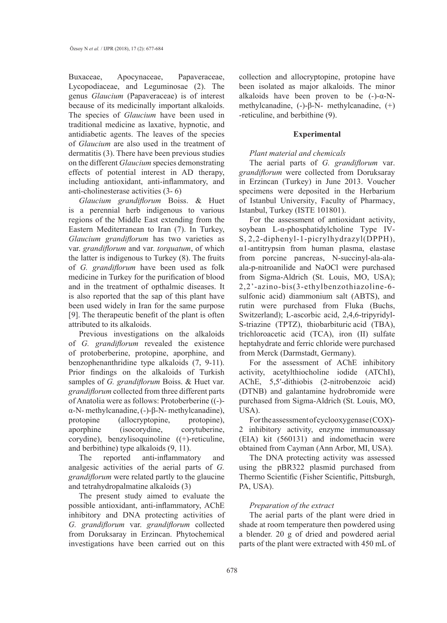Buxaceae, Apocynaceae, Papaveraceae, Lycopodiaceae, and Leguminosae (2). The genus *Glaucium* (Papaveraceae) is of interest because of its medicinally important alkaloids. The species of *Glaucium* have been used in traditional medicine as laxative, hypnotic, and antidiabetic agents. The leaves of the species of *Glaucium* are also used in the treatment of dermatitis (3). There have been previous studies on the different *Glaucium* species demonstrating effects of potential interest in AD therapy, including antioxidant, anti-inflammatory, and anti-cholinesterase activities (3- 6)

*Glaucium grandiflorum* Boiss. & Huet is a perennial herb indigenous to various regions of the Middle East extending from the Eastern Mediterranean to Iran (7). In Turkey, *Glaucium grandiflorum* has two varieties as var. *grandiflorum* and var. *torquatum*, of which the latter is indigenous to Turkey (8). The fruits of *G. grandiflorum* have been used as folk medicine in Turkey for the purification of blood and in the treatment of opthalmic diseases. It is also reported that the sap of this plant have been used widely in Iran for the same purpose [9]. The therapeutic benefit of the plant is often attributed to its alkaloids.

Previous investigations on the alkaloids of *G. grandiflorum* revealed the existence of protoberberine, protopine, aporphine, and benzophenanthridine type alkaloids (7, 9-11). Prior findings on the alkaloids of Turkish samples of *G. grandiflorum* Boiss. & Huet var. *grandiflorum* collected from three different parts of Anatolia were as follows: Protoberberine ((-) α-N- methylcanadine, (-)-β-N- methylcanadine), protopine (allocryptopine, protopine), aporphine (isocorydine, corytuberine, corydine), benzylisoquinoline ((+)-reticuline, and berbithine) type alkaloids (9, 11).

The reported anti-inflammatory and analgesic activities of the aerial parts of *G. grandiflorum* were related partly to the glaucine and tetrahydropalmatine alkaloids (3)

The present study aimed to evaluate the possible antioxidant, anti-inflammatory, AChE inhibitory and DNA protecting activities of *G. grandiflorum* var. *grandiflorum* collected from Doruksaray in Erzincan. Phytochemical investigations have been carried out on this

collection and allocryptopine, protopine have been isolated as major alkaloids. The minor alkaloids have been proven to be  $(-)-\alpha$ -Nmethylcanadine, (-)-β-N- methylcanadine, (+) -reticuline, and berbithine (9).

#### **Experimental**

# *Plant material and chemicals*

The aerial parts of *G. grandiflorum* var. *grandiflorum* were collected from Doruksaray in Erzincan (Turkey) in June 2013. Voucher specimens were deposited in the Herbarium of Istanbul University, Faculty of Pharmacy, Istanbul, Turkey (ISTE 101801).

For the assessment of antioxidant activity, soybean L-α-phosphatidylcholine Type IV-S, 2,2-diphenyl-1-picrylhydrazyl(DPPH), α1-antitrypsin from human plasma, elastase from porcine pancreas, N-succinyl-ala-alaala-p-nitroanilide and NaOCl were purchased from Sigma-Aldrich (St. Louis, MO, USA); 2,2'-azino-bis(3-ethylbenzothiazoline-6 sulfonic acid) diammonium salt (ABTS), and rutin were purchased from Fluka (Buchs, Switzerland); L-ascorbic acid, 2,4,6-tripyridyl-S-triazine (TPTZ), thiobarbituric acid (TBA), trichloroacetic acid (TCA), iron (II) sulfate heptahydrate and ferric chloride were purchased from Merck (Darmstadt, Germany).

For the assessment of AChE inhibitory activity, acetylthiocholine iodide (ATChI), AChE, 5,5′-dithiobis (2-nitrobenzoic acid) (DTNB) and galantamine hydrobromide were purchased from Sigma-Aldrich (St. Louis, MO, USA).

For the assessment of cyclooxygenase (COX)- 2 inhibitory activity, enzyme immunoassay (EIA) kit (560131) and indomethacin were obtained from Cayman (Ann Arbor, MI, USA).

The DNA protecting activity was assessed using the pBR322 plasmid purchased from Thermo Scientific (Fisher Scientific, Pittsburgh, PA, USA).

# *Preparation of the extract*

The aerial parts of the plant were dried in shade at room temperature then powdered using a blender. 20 g of dried and powdered aerial parts of the plant were extracted with 450 mL of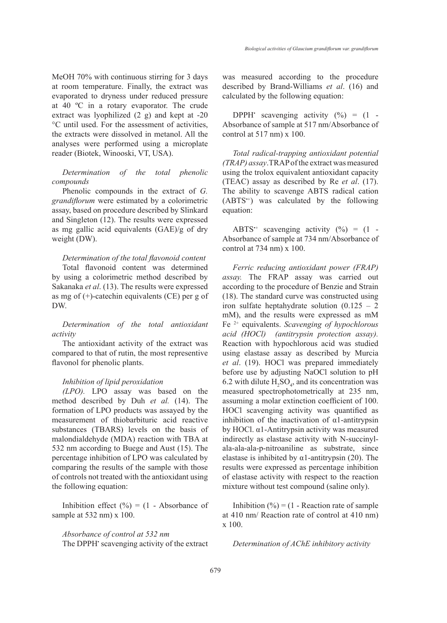MeOH 70% with continuous stirring for 3 days at room temperature. Finally, the extract was evaporated to dryness under reduced pressure at 40 ºC in a rotary evaporator. The crude extract was lyophilized (2 g) and kept at -20 °C until used. For the assessment of activities, the extracts were dissolved in metanol. All the analyses were performed using a microplate reader (Biotek, Winooski, VT, USA).

# *Determination of the total phenolic compounds*

Phenolic compounds in the extract of *G. grandiflorum* were estimated by a colorimetric assay, based on procedure described by Slinkard and Singleton (12). The results were expressed as mg gallic acid equivalents (GAE)/g of dry weight (DW).

## *Determination of the total flavonoid content*

Total flavonoid content was determined by using a colorimetric method described by Sakanaka *et al*. (13). The results were expressed as mg of (+)-catechin equivalents (CE) per g of DW.

*Determination of the total antioxidant activity*

The antioxidant activity of the extract was compared to that of rutin, the most representive flavonol for phenolic plants.

#### *Inhibition of lipid peroxidation*

*(LPO).* LPO assay was based on the method described by Duh *et al.* (14). The formation of LPO products was assayed by the measurement of thiobarbituric acid reactive substances (TBARS) levels on the basis of malondialdehyde (MDA) reaction with TBA at 532 nm according to Buege and Aust (15). The percentage inhibition of LPO was calculated by comparing the results of the sample with those of controls not treated with the antioxidant using the following equation:

Inhibition effect  $(\% ) = (1 - Absorbance of$ sample at 532 nm) x 100.

*Absorbance of control at 532 nm* The DPPH<sup>•</sup> scavenging activity of the extract was measured according to the procedure described by Brand-Williams *et al*. (16) and calculated by the following equation:

DPPH scavenging activity  $(\%) = (1 -$ Absorbance of sample at 517 nm/Absorbance of control at 517 nm) x 100.

*Total radical-trapping antioxidant potential (TRAP) assay*.TRAP of the extract was measured using the trolox equivalent antioxidant capacity (TEAC) assay as described by Re *et al*. (17). The ability to scavenge ABTS radical cation  $(ABTS^+)$  was calculated by the following equation:

ABTS<sup>++</sup> scavenging activity  $(\% ) = (1 -$ Absorbance of sample at 734 nm/Absorbance of control at 734 nm) x 100.

*Ferric reducing antioxidant power (FRAP) assay.* The FRAP assay was carried out according to the procedure of Benzie and Strain (18). The standard curve was constructed using iron sulfate heptahydrate solution  $(0.125 - 2)$ mM), and the results were expressed as mM Fe 2+ equivalents. *Scavenging of hypochlorous acid (HOCl) (antitrypsin protection assay).* Reaction with hypochlorous acid was studied using elastase assay as described by Murcia *et al*. (19). HOCl was prepared immediately before use by adjusting NaOCl solution to pH 6.2 with dilute  $H_2SO_4$ , and its concentration was measured spectrophotometrically at 235 nm, assuming a molar extinction coefficient of 100. HOCl scavenging activity was quantified as inhibition of the inactivation of  $\alpha$ 1-antitrypsin by HOCl. α1-Antitrypsin activity was measured indirectly as elastase activity with N-succinylala-ala-ala-p-nitroaniline as substrate, since elastase is inhibited by  $\alpha$ 1-antitrypsin (20). The results were expressed as percentage inhibition of elastase activity with respect to the reaction mixture without test compound (saline only).

Inhibition  $(\%)=(1 - \text{Reaction rate of sample})$ at 410 nm/ Reaction rate of control at 410 nm) x 100.

*Determination of AChE inhibitory activity*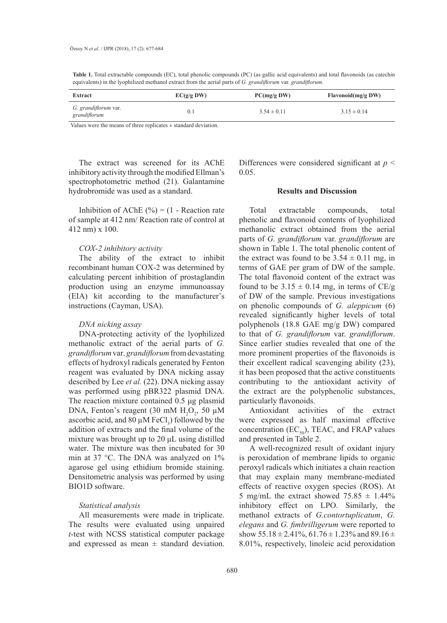**Table 1.** Total extractable compounds (EC), total phenolic compounds (PC) (as gallic acid equivalents) and total flavonoids (as catechin equivalents) in the lyophilized methanol extract from the aerial parts of *G. grandiflorum* var. *grandiflorum.*

| Extract                                     | EC(g/g DW) | PC(mg/gDW)      | Flavonoid(mg/g DW) |
|---------------------------------------------|------------|-----------------|--------------------|
| <i>G. grandiflorum</i> var.<br>grandiflorum |            | $3.54 \pm 0.11$ | $3.15 \pm 0.14$    |

Values were the means of three replicates  $\pm$  standard deviation.

The extract was screened for its AChE inhibitory activity through the modified Ellman's spectrophotometric method (21). Galantamine hydrobromide was used as a standard.

Inhibition of AChE  $(\% ) = (1 - \text{Reaction rate})$ of sample at 412 nm/ Reaction rate of control at 412 nm) x 100.

#### *COX-2 inhibitory activity*

The ability of the extract to inhibit recombinant human COX-2 was determined by calculating percent inhibition of prostaglandin production using an enzyme immunoassay (EIA) kit according to the manufacturer's instructions (Cayman, USA).

## *DNA nicking assay*

DNA-protecting activity of the lyophilized methanolic extract of the aerial parts of *G. grandiflorum* var. *grandiflorum* from devastating effects of hydroxyl radicals generated by Fenton reagent was evaluated by DNA nicking assay described by Lee *et al.* (22). DNA nicking assay was performed using pBR322 plasmid DNA. The reaction mixture contained 0.5 μg plasmid DNA, Fenton's reagent (30 mM  $H_2O_2$ , 50  $\mu$ M ascorbic acid, and 80  $\mu$ M FeCl<sub>3</sub>) followed by the addition of extracts and the final volume of the mixture was brought up to 20 μL using distilled water. The mixture was then incubated for 30 min at 37 °C. The DNA was analyzed on 1% agarose gel using ethidium bromide staining. Densitometric analysis was performed by using BIO1D software.

# *Statistical analysis*

All measurements were made in triplicate. The results were evaluated using unpaired *t*-test with NCSS statistical computer package and expressed as mean  $\pm$  standard deviation.

Differences were considered significant at *p* < 0.05.

#### **Results and Discussion**

Total extractable compounds, total phenolic and flavonoid contents of lyophilized methanolic extract obtained from the aerial parts of *G. grandiflorum* var. *grandiflorum* are shown in Table 1. The total phenolic content of the extract was found to be  $3.54 \pm 0.11$  mg, in terms of GAE per gram of DW of the sample. The total flavonoid content of the extract was found to be  $3.15 \pm 0.14$  mg, in terms of CE/g of DW of the sample. Previous investigations on phenolic compounds of *G. aleppicum* (6) revealed significantly higher levels of total polyphenols (18.8 GAE mg/g DW) compared to that of *G. grandiflorum* var. *grandiflorum*. Since earlier studies revealed that one of the more prominent properties of the flavonoids is their excellent radical scavenging ability (23), it has been proposed that the active constituents contributing to the antioxidant activity of the extract are the polyphenolic substances, particularly flavonoids.

Antioxidant activities of the extract were expressed as half maximal effective concentration  $(EC_{50})$ , TEAC, and FRAP values and presented in Table 2.

A well-recognized result of oxidant injury is peroxidation of membrane lipids to organic peroxyl radicals which initiates a chain reaction that may explain many membrane-mediated effects of reactive oxygen species (ROS). At 5 mg/mL the extract showed  $75.85 \pm 1.44\%$ inhibitory effect on LPO. Similarly, the methanol extracts of *G.contortuplicatum*, *G. elegans* and *G. fimbrilligerum* were reported to show  $55.18 \pm 2.41\%$ ,  $61.76 \pm 1.23\%$  and  $89.16 \pm 1.23\%$ 8.01%, respectively, linoleic acid peroxidation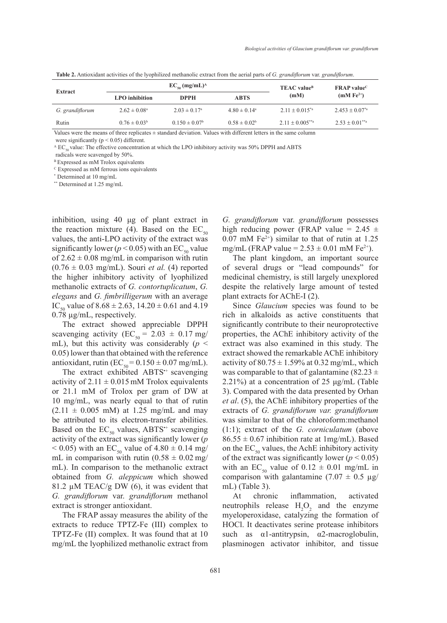|                 | $EC_{50}$ (mg/mL) <sup>A</sup> |                         |                              | <b>TEAC</b> value <sup>B</sup>  | $FRAP$ value <sup>C</sup> |
|-----------------|--------------------------------|-------------------------|------------------------------|---------------------------------|---------------------------|
| Extract         | <b>LPO</b> inhibition          | <b>DPPH</b>             | <b>ABTS</b>                  | (mM)                            | $(mM Fe2+)$               |
| G. grandiflorum | $2.62 \pm 0.08^{\circ}$        | $2.03 \pm 0.17^{\circ}$ | $4.80 \pm 0.14$ <sup>a</sup> | $2.11 + 0.015^{*}$ <sup>a</sup> | $2.453 + 0.07^{*}$ a      |
| Rutin           | $0.76 \pm 0.03^b$              | $0.150 \pm 0.07^b$      | $0.58 \pm 0.02^b$            | $2.11 + 0.005^{**}$ a           | $2.53 \pm 0.01^{**}$ a    |

**Table 2.** Antioxidant activities of the lyophilized methanolic extract from the aerial parts of *G. grandiflorum* var. *grandiflorum*.

Values were the means of three replicates  $\pm$  standard deviation. Values with different letters in the same column were significantly ( $p < 0.05$ ) different.

 $^{\circ}$  EC<sub>50</sub> value: The effective concentration at which the LPO inhibitory activity was 50% DPPH and ABTS

radicals were scavenged by 50%.

<sup>B</sup> Expressed as mM Trolox equivalents

C Expressed as mM ferrous ions equivalents

\* Determined at 10 mg/mL

\*\* Determined at 1.25 mg/mL

inhibition, using 40 μg of plant extract in the reaction mixture (4). Based on the  $EC_{50}$ values, the anti-LPO activity of the extract was significantly lower ( $p < 0.05$ ) with an EC<sub>50</sub> value of  $2.62 \pm 0.08$  mg/mL in comparison with rutin  $(0.76 \pm 0.03$  mg/mL). Souri *et al.* (4) reported the higher inhibitory activity of lyophilized methanolic extracts of *G. contortuplicatum*, *G. elegans* and *G. fimbrilligerum* with an average IC<sub>50</sub> value of  $8.68 \pm 2.63$ ,  $14.20 \pm 0.61$  and  $4.19$ 0.78 µg/mL, respectively.

The extract showed appreciable DPPH scavenging activity (EC<sub>50</sub> = 2.03  $\pm$  0.17 mg/ mL), but this activity was considerably ( $p \leq$ 0.05) lower than that obtained with the reference antioxidant, rutin ( $EC_{50} = 0.150 \pm 0.07$  mg/mL).

The extract exhibited ABTS<sup>++</sup> scavenging activity of  $2.11 \pm 0.015$  mM Trolox equivalents or 21.1 mM of Trolox per gram of DW at 10 mg/mL, was nearly equal to that of rutin  $(2.11 \pm 0.005 \text{ mM})$  at 1.25 mg/mL and may be attributed to its electron-transfer abilities. Based on the  $EC_{50}$  values, ABTS<sup> $\cdot$ +</sup> scavenging activity of the extract was significantly lower (*p*  $< 0.05$ ) with an EC<sub>50</sub> value of 4.80  $\pm$  0.14 mg/ mL in comparison with rutin  $(0.58 \pm 0.02 \text{ mg}/$ mL). In comparison to the methanolic extract obtained from *G. aleppicum* which showed 81.2  $\mu$ M TEAC/g DW (6), it was evident that *G. grandiflorum* var. *grandiflorum* methanol extract is stronger antioxidant.

The FRAP assay measures the ability of the extracts to reduce TPTZ-Fe (III) complex to TPTZ-Fe (II) complex. It was found that at 10 mg/mL the lyophilized methanolic extract from *G. grandiflorum* var. *grandiflorum* possesses high reducing power (FRAP value =  $2.45 \pm$  $0.07$  mM Fe<sup>2+</sup>) similar to that of rutin at 1.25 mg/mL (FRAP value =  $2.53 \pm 0.01$  mM Fe<sup>2+</sup>).

The plant kingdom, an important source of several drugs or "lead compounds" for medicinal chemistry, is still largely unexplored despite the relatively large amount of tested plant extracts for AChE-I (2).

Since *Glaucium* species was found to be rich in alkaloids as active constituents that significantly contribute to their neuroprotective properties, the AChE inhibitory activity of the extract was also examined in this study. The extract showed the remarkable AChE inhibitory activity of  $80.75 \pm 1.59\%$  at 0.32 mg/mL, which was comparable to that of galantamine (82.23  $\pm$ 2.21%) at a concentration of 25 μg/mL (Table 3). Compared with the data presented by Orhan *et al*. (5), the AChE inhibitory properties of the extracts of *G. grandiflorum var. grandiflorum*  was similar to that of the chloroform:methanol (1:1); extract of the *G. corniculatum* (above  $86.55 \pm 0.67$  inhibition rate at 1mg/mL). Based on the  $EC_{50}$  values, the AchE inhibitory activity of the extract was significantly lower ( $p < 0.05$ ) with an EC<sub>50</sub> value of  $0.12 \pm 0.01$  mg/mL in comparison with galantamine (7.07  $\pm$  0.5  $\mu$ g/ mL) (Table 3).

At chronic inflammation, activated neutrophils release  $H_2O_2$  and the enzyme myeloperoxidase, catalyzing the formation of HOCl. It deactivates serine protease inhibitors such as  $\alpha$ 1-antitrypsin,  $\alpha$ 2-macroglobulin, plasminogen activator inhibitor, and tissue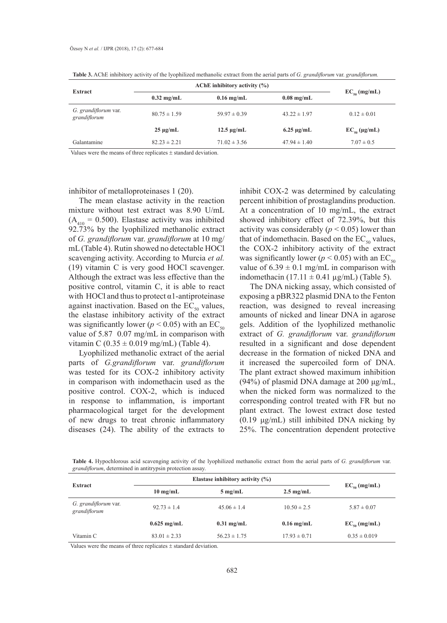| Extract                              | AChE inhibitory activity $(\% )$ |                      |                      |                      |
|--------------------------------------|----------------------------------|----------------------|----------------------|----------------------|
|                                      | $0.32 \text{ mg/mL}$             | $0.16$ mg/mL         | $0.08 \text{ mg/mL}$ | $EC_{50}$ (mg/mL)    |
| G. grandiflorum var.<br>grandiflorum | $80.75 \pm 1.59$                 | $59.97 \pm 0.39$     | $43.22 \pm 1.97$     | $0.12 \pm 0.01$      |
|                                      | $25 \mu g/mL$                    | $12.5 \text{ µg/mL}$ | $6.25 \mu$ g/mL      | $EC_{50} (\mu g/mL)$ |
| Galantamine                          | $82.23 \pm 2.21$                 | $71.02 \pm 3.56$     | $47.94 \pm 1.40$     | $7.07 \pm 0.5$       |

**Table 3.** AChE inhibitory activity of the lyophilized methanolic extract from the aerial parts of *G. grandiflorum* var. *grandiflorum.*

Values were the means of three replicates  $\pm$  standard deviation.

inhibitor of metalloproteinases 1 (20).

The mean elastase activity in the reaction mixture without test extract was 8.90 U/mL  $(A_{410} = 0.500)$ . Elastase activity was inhibited 92.73% by the lyophilized methanolic extract of *G. grandiflorum* var. *grandiflorum* at 10 mg/ mL (Table 4). Rutin showed no detectable HOCl scavenging activity. According to Murcia *et al.* (19) vitamin C is very good HOCl scavenger. Although the extract was less effective than the positive control, vitamin C, it is able to react with HOCl and thus to protect  $\alpha$ 1-antiproteinase against inactivation. Based on the  $EC_{50}$  values, the elastase inhibitory activity of the extract was significantly lower ( $p < 0.05$ ) with an EC<sub>50</sub> value of 5.87 0.07 mg/mL in comparison with vitamin C ( $0.35 \pm 0.019$  mg/mL) (Table 4).

Lyophilized methanolic extract of the aerial parts of *G.grandiflorum* var. *grandiflorum*  was tested for its COX-2 inhibitory activity in comparison with indomethacin used as the positive control. COX-2, which is induced in response to inflammation, is important pharmacological target for the development of new drugs to treat chronic inflammatory diseases (24). The ability of the extracts to

inhibit COX-2 was determined by calculating percent inhibition of prostaglandins production. At a concentration of 10 mg/mL, the extract showed inhibitory effect of 72.39%, but this activity was considerably ( $p < 0.05$ ) lower than that of indomethacin. Based on the  $EC_{50}$  values, the COX-2 inhibitory activity of the extract was significantly lower ( $p < 0.05$ ) with an EC<sub>50</sub> value of  $6.39 \pm 0.1$  mg/mL in comparison with indomethacin (17.11  $\pm$  0.41  $\mu$ g/mL) (Table 5).

The DNA nicking assay, which consisted of exposing a pBR322 plasmid DNA to the Fenton reaction, was designed to reveal increasing amounts of nicked and linear DNA in agarose gels. Addition of the lyophilized methanolic extract of *G. grandiflorum* var. *grandiflorum*  resulted in a significant and dose dependent decrease in the formation of nicked DNA and it increased the supercoiled form of DNA. The plant extract showed maximum inhibition (94%) of plasmid DNA damage at 200 μg/mL, when the nicked form was normalized to the corresponding control treated with FR but no plant extract. The lowest extract dose tested (0.19 μg/mL) still inhibited DNA nicking by 25%. The concentration dependent protective

**Table 4.** Hypochlorous acid scavenging activity of the lyophilized methanolic extract from the aerial parts of *G. grandiflorum* var. *grandiflorum*, determined in antitrypsin protection assay.

| Extract                              | Elastase inhibitory activity $(\% )$ |                   |                     |                   |
|--------------------------------------|--------------------------------------|-------------------|---------------------|-------------------|
|                                      | $10 \text{ mg/mL}$                   | $5 \text{ mg/mL}$ | $2.5 \text{ mg/mL}$ | $EC_{50}$ (mg/mL) |
| G. grandiflorum var.<br>grandiflorum | $92.73 \pm 1.4$                      | $45.06 \pm 1.4$   | $10.50 \pm 2.5$     | $5.87 \pm 0.07$   |
|                                      | $0.625$ mg/mL                        | $0.31$ mg/mL      | $0.16$ mg/mL        | $EC_{50}$ (mg/mL) |
| Vitamin C                            | $83.01 \pm 2.33$                     | $56.23 \pm 1.75$  | $17.93 \pm 0.71$    | $0.35 \pm 0.019$  |

Values were the means of three replicates  $\pm$  standard deviation.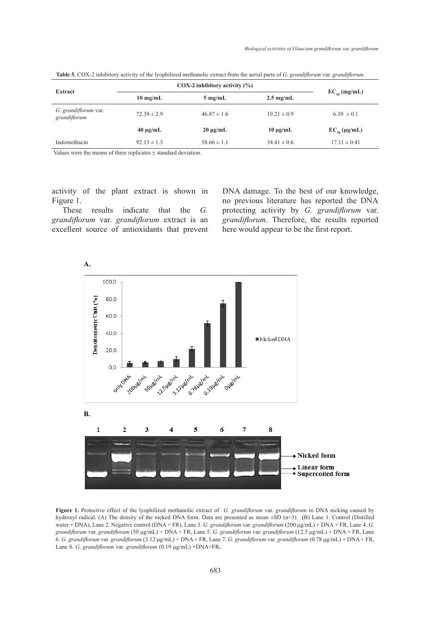|                                      | $COX-2$ inhibitory activity $(\% )$ |                   |                     |                      |
|--------------------------------------|-------------------------------------|-------------------|---------------------|----------------------|
| Extract                              | $10 \text{ mg/mL}$                  | $5 \text{ mg/mL}$ | $2.5 \text{ mg/mL}$ | $EC_{50}$ (mg/mL)    |
| G. grandiflorum var.<br>grandiflorum | $72.39 \pm 2.9$                     | $46.87 \pm 1.6$   | $19.21 \pm 0.9$     | $6.39 \pm 0.1$       |
|                                      | $40 \mu g/mL$                       | $20 \mu g/mL$     | $10 \mu g/mL$       | $EC_{50} (\mu g/mL)$ |
| Indomethacin                         | $92.13 \pm 1.3$                     | $58.66 \pm 1.1$   | $34.41 \pm 0.6$     | $17.11 \pm 0.41$     |

**Table 5.** COX-2 inhibitory activity of the lyophilized methanolic extract from the aerial parts of *G. grandiflorum* var. *grandiflorum*.

Values were the means of three replicates  $\pm$  standard deviation.

activity of the plant extract is shown in Figure 1.

These results indicate that the *G. grandiflorum* var. *grandiflorum* extract is an excellent source of antioxidants that prevent DNA damage. To the best of our knowledge, no previous literature has reported the DNA protecting activity by *G. grandiflorum* var. *grandiflorum*. Therefore, the results reported here would appear to be the first report.



**Figure 1.** Protective effect of the lyophilized methanolic extract of *G. grandiflorum* var. *grandiflorum* in DNA nicking caused by hydroxyl radical. (A) The density of the nicked DNA form. Data are presented as mean ±SD (n=3). **(**B) Lane 1. Control (Distilled water + DNA), Lane 2. Negative control (DNA + FR), Lane 3. *G. grandiflorum* var. *grandiflorum* (200 μg/mL) + DNA + FR, Lane 4. *G. grandiflorum* var. *grandiflorum* (50 μg/mL) + DNA + FR, Lane 5. *G. grandiflorum* var. *grandiflorum* (12.5 μg/mL) + DNA + FR, Lane 6. *G. grandiflorum* var. *grandiflorum* (3.12 μg/mL) + DNA + FR, Lane 7. *G. grandiflorum* var. *grandiflorum* (0.78 μg/mL) + DNA + FR, Lane 8. *G. grandiflorum* var. *grandiflorum* (0.19 μg/mL) +DNA+FR**.**